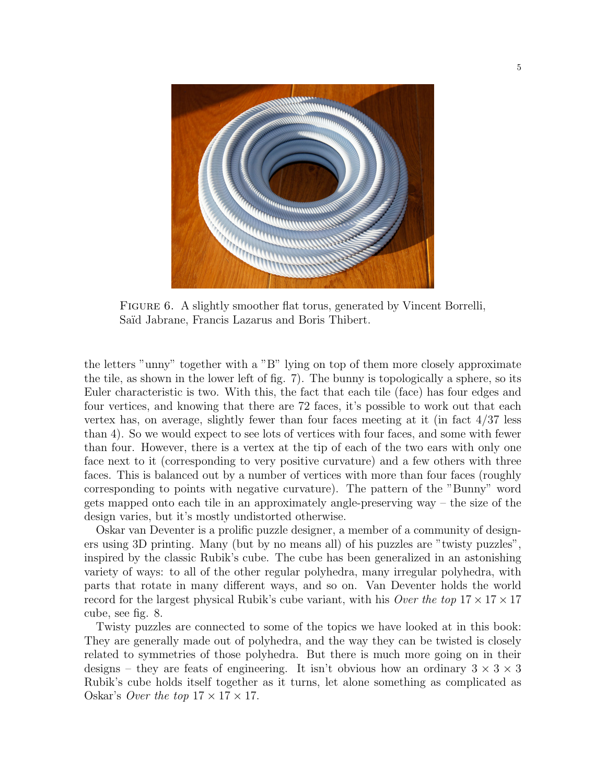

FIGURE 6. A slightly smoother flat torus, generated by Vincent Borrelli, Saïd Jabrane, Francis Lazarus and Boris Thibert.

the letters "unny" together with a "B" lying on top of them more closely approximate the tile, as shown in the lower left of fig. 7). The bunny is topologically a sphere, so its Euler characteristic is two. With this, the fact that each tile (face) has four edges and four vertices, and knowing that there are 72 faces, it's possible to work out that each vertex has, on average, slightly fewer than four faces meeting at it (in fact 4/37 less than 4). So we would expect to see lots of vertices with four faces, and some with fewer than four. However, there is a vertex at the tip of each of the two ears with only one face next to it (corresponding to very positive curvature) and a few others with three faces. This is balanced out by a number of vertices with more than four faces (roughly corresponding to points with negative curvature). The pattern of the "Bunny" word gets mapped onto each tile in an approximately angle-preserving way – the size of the design varies, but it's mostly undistorted otherwise.

Oskar van Deventer is a prolific puzzle designer, a member of a community of designers using 3D printing. Many (but by no means all) of his puzzles are "twisty puzzles", inspired by the classic Rubik's cube. The cube has been generalized in an astonishing variety of ways: to all of the other regular polyhedra, many irregular polyhedra, with parts that rotate in many different ways, and so on. Van Deventer holds the world record for the largest physical Rubik's cube variant, with his *Over the top*  $17 \times 17 \times 17$ cube, see fig. 8.

Twisty puzzles are connected to some of the topics we have looked at in this book: They are generally made out of polyhedra, and the way they can be twisted is closely related to symmetries of those polyhedra. But there is much more going on in their designs – they are feats of engineering. It isn't obvious how an ordinary  $3 \times 3 \times 3$ Rubik's cube holds itself together as it turns, let alone something as complicated as Oskar's *Over the top*  $17 \times 17 \times 17$ .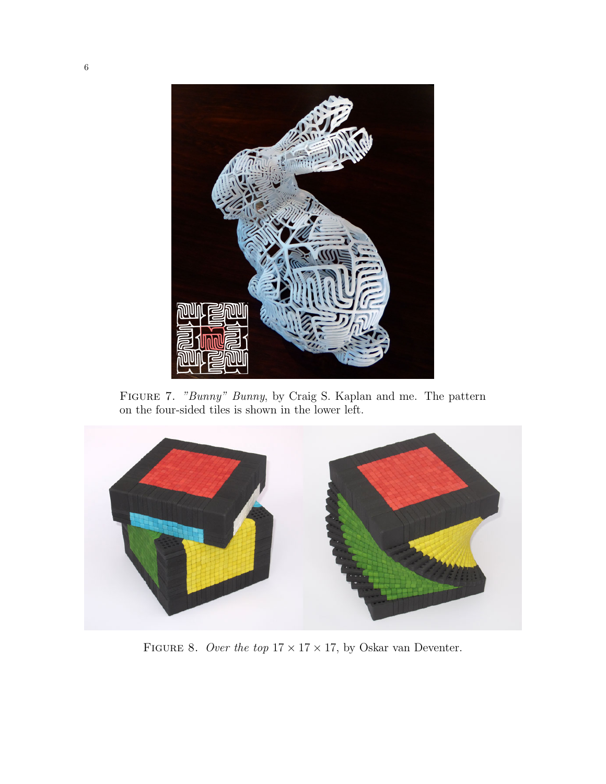

Figure 7. "Bunny" Bunny, by Craig S. Kaplan and me. The pattern on the four-sided tiles is shown in the lower left.



FIGURE 8. Over the top  $17 \times 17 \times 17$ , by Oskar van Deventer.